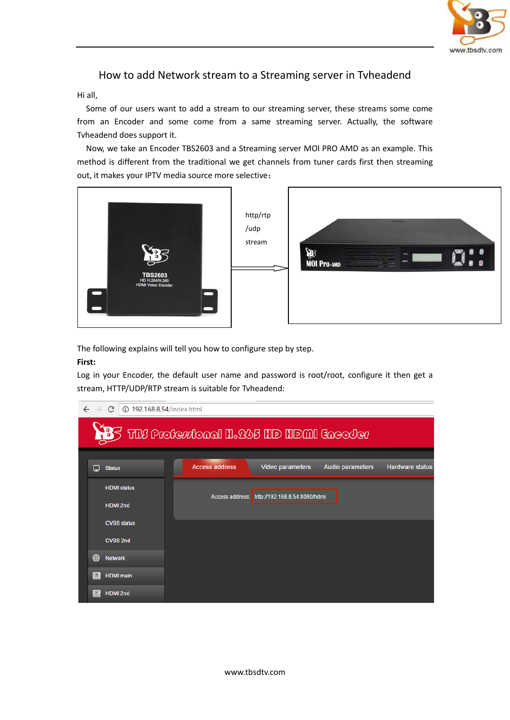

# How to add Network stream to a Streaming server in Tvheadend

### Hi all,

 Some of our users want to add a stream to our streaming server, these streams some come from an Encoder and some come from a same streaming server. Actually, the software Tvheadend does support it.

Now, we take an Encoder TBS2603 and a Streaming server MOI PRO AMD as an example. This method is different from the traditional we get channels from tuner cards first then streaming out, it makes your IPTV media source more selective:



The following explains will tell you how to configure step by step.

### **First:**

Log in your Encoder, the default user name and password is root/root, configure it then get a stream, HTTP/UDP/RTP stream is suitable for Tvheadend:

| $\leftarrow$ $\rightarrow$ C<br>192.168.8.54/index.html |                    |                                                             |                 |                               |                  |                        |  |  |  |  |  |
|---------------------------------------------------------|--------------------|-------------------------------------------------------------|-----------------|-------------------------------|------------------|------------------------|--|--|--|--|--|
|                                                         |                    | $\leq$ TBC proferatoral H $_2$ 245 HD HDMI Grec $\circ$ Ier |                 |                               |                  |                        |  |  |  |  |  |
|                                                         |                    |                                                             |                 |                               |                  |                        |  |  |  |  |  |
| ▬                                                       | <b>Status</b>      | <b>Access address</b>                                       |                 | Video parameters              | Audio parameters | <b>Hardware status</b> |  |  |  |  |  |
|                                                         | <b>HDMI</b> status |                                                             | Access address: | http://192.168.8.54:8080/hdmi |                  |                        |  |  |  |  |  |
|                                                         | <b>HDMI 2nd</b>    |                                                             |                 |                               |                  |                        |  |  |  |  |  |
|                                                         | <b>CVBS status</b> |                                                             |                 |                               |                  |                        |  |  |  |  |  |
|                                                         | <b>CVBS 2nd</b>    |                                                             |                 |                               |                  |                        |  |  |  |  |  |
| ⊕                                                       | <b>Network</b>     |                                                             |                 |                               |                  |                        |  |  |  |  |  |
| $\circledcirc$                                          | <b>HDMI</b> main   |                                                             |                 |                               |                  |                        |  |  |  |  |  |
| $\odot$                                                 | <b>HDMI 2nd</b>    |                                                             |                 |                               |                  |                        |  |  |  |  |  |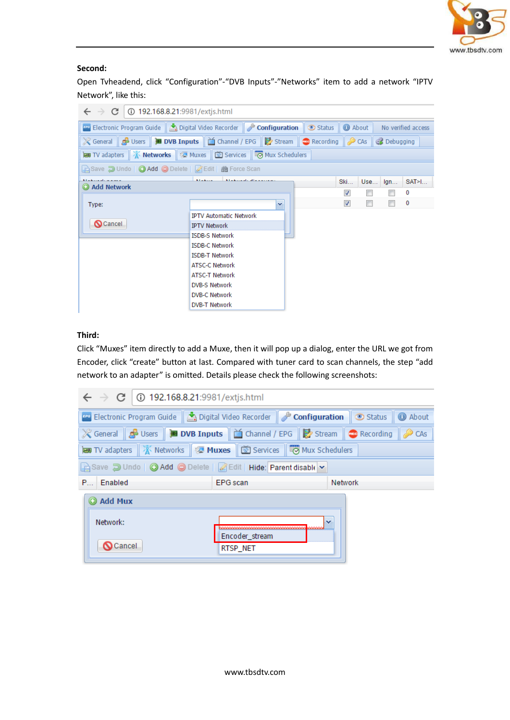

### **Second:**

Open Tvheadend, click "Configuration"-"DVB Inputs"-"Networks" item to add a network "IPTV Network", like this:

| C<br>192.168.8.21:9981/extis.html<br>$\leftarrow$ $\rightarrow$                                                |                                                  |  |                         |     |                |          |  |  |  |  |  |
|----------------------------------------------------------------------------------------------------------------|--------------------------------------------------|--|-------------------------|-----|----------------|----------|--|--|--|--|--|
| <b>Configuration</b> Cuide   A Digital Video Recorder   Configuration<br>Status<br>About<br>No verified access |                                                  |  |                         |     |                |          |  |  |  |  |  |
| X General G Users B DVB Inputs   △ Channel / EPG   B Stream   ● Recording   ● CAs   GB Debugging               |                                                  |  |                         |     |                |          |  |  |  |  |  |
| <b>as TV</b> adapters <b>A Networks A</b> Muxes <b>B</b> Services <b>B</b> Mux Schedulers                      |                                                  |  |                         |     |                |          |  |  |  |  |  |
| A Save D Undo   ● Add ● Delete   A Edit   齝 Force Scan                                                         |                                                  |  |                         |     |                |          |  |  |  |  |  |
| <b>Markovski manual</b><br><b>Add Network</b>                                                                  | All advanced and increase and<br><b>Allahoon</b> |  | <b>Ski</b>              | Use | $\mathsf{Iqn}$ | SAT>1    |  |  |  |  |  |
|                                                                                                                |                                                  |  | ⊽                       |     |                | 0        |  |  |  |  |  |
| Type:                                                                                                          | ×                                                |  | $\overline{\mathbf{v}}$ | П   |                | $\bf{0}$ |  |  |  |  |  |
|                                                                                                                | <b>IPTV Automatic Network</b>                    |  |                         |     |                |          |  |  |  |  |  |
| <b>Q</b> Cancel                                                                                                | <b>IPTV Network</b>                              |  |                         |     |                |          |  |  |  |  |  |
|                                                                                                                | <b>ISDB-S Network</b>                            |  |                         |     |                |          |  |  |  |  |  |
|                                                                                                                | <b>ISDB-C Network</b>                            |  |                         |     |                |          |  |  |  |  |  |
|                                                                                                                | <b>ISDB-T Network</b>                            |  |                         |     |                |          |  |  |  |  |  |
|                                                                                                                | <b>ATSC-C Network</b>                            |  |                         |     |                |          |  |  |  |  |  |
|                                                                                                                | <b>ATSC-T Network</b>                            |  |                         |     |                |          |  |  |  |  |  |
|                                                                                                                | <b>DVB-S Network</b>                             |  |                         |     |                |          |  |  |  |  |  |
|                                                                                                                | DVB-C Network                                    |  |                         |     |                |          |  |  |  |  |  |
|                                                                                                                | <b>DVB-T Network</b>                             |  |                         |     |                |          |  |  |  |  |  |

## **Third:**

Click "Muxes" item directly to add a Muxe, then it will pop up a dialog, enter the URL we got from Encoder, click "create" button at last. Compared with tuner card to scan channels, the step "add network to an adapter" is omitted. Details please check the following screenshots:

| $\leftarrow$ $\rightarrow$ C   0 192.168.8.21:9981/extjs.html                                                  |                                                                |                          |  |  |  |  |  |  |  |  |
|----------------------------------------------------------------------------------------------------------------|----------------------------------------------------------------|--------------------------|--|--|--|--|--|--|--|--|
| <b>Example 2 Configuration</b> Status <b>1 C</b> About                                                         |                                                                |                          |  |  |  |  |  |  |  |  |
| ※ General   <mark>◆</mark> Users   ■ DVB Inputs   △ Channel / EPG   ■ Stream   ● Recording<br>$\mathbb{R}$ CAs |                                                                |                          |  |  |  |  |  |  |  |  |
| <b>■TV</b> adapters A Networks Z Muxes <b>i</b> is Services i i i Mux Schedulers                               |                                                                |                          |  |  |  |  |  |  |  |  |
|                                                                                                                | Save J Undo   @ Add @ Delete   Z Edit   Hide: Parent disable v |                          |  |  |  |  |  |  |  |  |
| P Enabled                                                                                                      | <b>EPG</b> scan                                                | Network                  |  |  |  |  |  |  |  |  |
| Add Mux                                                                                                        |                                                                |                          |  |  |  |  |  |  |  |  |
| Network:                                                                                                       |                                                                | $\overline{\phantom{a}}$ |  |  |  |  |  |  |  |  |
| <b>O</b> Cancel                                                                                                | Encoder_stream<br>RTSP_NET                                     |                          |  |  |  |  |  |  |  |  |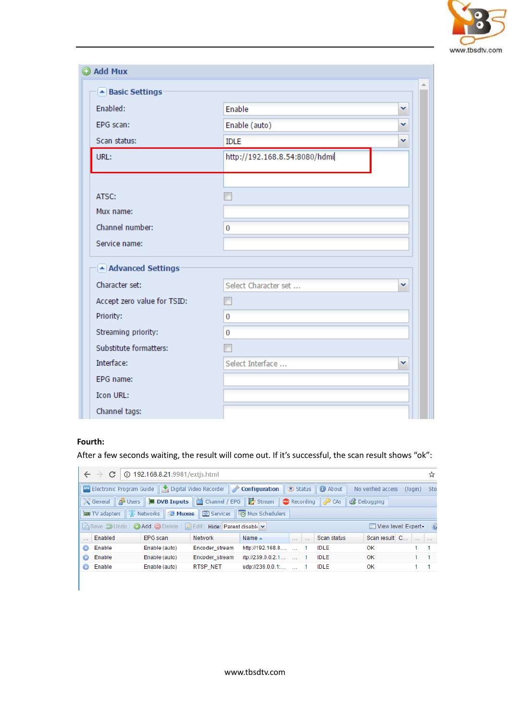

| @ Add Mux                   |                               |   |
|-----------------------------|-------------------------------|---|
| ▲ Basic Settings            |                               |   |
| Enabled:                    | Enable                        | Y |
| EPG scan:                   | Enable (auto)                 | v |
| Scan status:                | <b>IDLE</b>                   | v |
| URL:                        | http://192.168.8.54:8080/hdmi |   |
|                             |                               |   |
| ATSC:                       |                               |   |
| Mux name:                   |                               |   |
| Channel number:             | $\overline{0}$                |   |
| Service name:               |                               |   |
| Advanced Settings           |                               |   |
| Character set:              | Select Character set          | v |
| Accept zero value for TSID: |                               |   |
| Priority:                   | $\bf{0}$                      |   |
| Streaming priority:         | $\bf{0}$                      |   |
| Substitute formatters:      |                               |   |
| Interface:                  | Select Interface              | v |
| EPG name:                   |                               |   |
| Icon URL:                   |                               |   |
| Channel tags:               |                               |   |

### **Fourth:**

After a few seconds waiting, the result will come out. If it's successful, the scan result shows "ok":

|   | 192.168.8.21:9981/extis.html<br>$\leftarrow$ $\rightarrow$ C<br>☆                                                                           |                                                              |                |                      |  |  |             |                           |  |  |  |  |
|---|---------------------------------------------------------------------------------------------------------------------------------------------|--------------------------------------------------------------|----------------|----------------------|--|--|-------------|---------------------------|--|--|--|--|
|   | Flectronic Program Guide   A Digital Video Recorder   <i>D</i> Configuration   ⊙ Status   ⊙ About  <br>No verified access<br>(login)<br>Sto |                                                              |                |                      |  |  |             |                           |  |  |  |  |
|   | <b>※General A Users DIO US Inputs</b>   △ Channel / EPG   B Stream   ● Recording   ♪ CAs   ● Debugging                                      |                                                              |                |                      |  |  |             |                           |  |  |  |  |
|   | <b>NEW TV</b> adapters <b>A</b> Networks <b>A</b> Muxes <b>6</b> Services <b>7</b> Mux Schedulers                                           |                                                              |                |                      |  |  |             |                           |  |  |  |  |
|   |                                                                                                                                             | Save J Undo   Add   Delete   A Edit   Hide: Parent disable v |                |                      |  |  |             | TE View level: Expert - 3 |  |  |  |  |
|   | Enabled                                                                                                                                     | EPG scan                                                     | Network        | Name $\triangle$     |  |  | Scan status | Scan result C             |  |  |  |  |
| o | Enable                                                                                                                                      | Enable (auto)                                                | Encoder_stream | http://192.168.8     |  |  | IDLE        | OK                        |  |  |  |  |
| o | Enable                                                                                                                                      | Enable (auto)                                                | Encoder stream | rtp://239.0.0.2:1  1 |  |  | IDLE        | OK                        |  |  |  |  |
|   | <b>D</b> Enable                                                                                                                             | Enable (auto)                                                | RTSP NET       | $udp://239.0.0.1$ 1  |  |  | <b>IDLE</b> | OK                        |  |  |  |  |